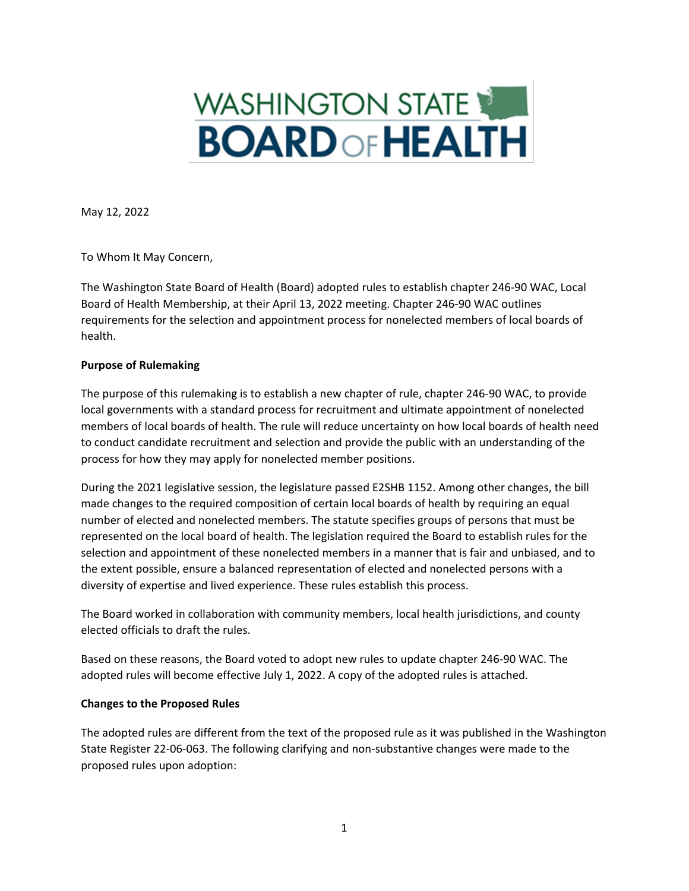# **WASHINGTON STATE BOARDOFHEALTH**

May 12, 2022

To Whom It May Concern,

The Washington State Board of Health (Board) adopted rules to establish chapter 246-90 WAC, Local Board of Health Membership, at their April 13, 2022 meeting. Chapter 246-90 WAC outlines requirements for the selection and appointment process for nonelected members of local boards of health.

### **Purpose of Rulemaking**

The purpose of this rulemaking is to establish a new chapter of rule, chapter 246-90 WAC, to provide local governments with a standard process for recruitment and ultimate appointment of nonelected members of local boards of health. The rule will reduce uncertainty on how local boards of health need to conduct candidate recruitment and selection and provide the public with an understanding of the process for how they may apply for nonelected member positions.

During the 2021 legislative session, the legislature passed E2SHB 1152. Among other changes, the bill made changes to the required composition of certain local boards of health by requiring an equal number of elected and nonelected members. The statute specifies groups of persons that must be represented on the local board of health. The legislation required the Board to establish rules for the selection and appointment of these nonelected members in a manner that is fair and unbiased, and to the extent possible, ensure a balanced representation of elected and nonelected persons with a diversity of expertise and lived experience. These rules establish this process.

The Board worked in collaboration with community members, local health jurisdictions, and county elected officials to draft the rules.

Based on these reasons, the Board voted to adopt new rules to update chapter 246-90 WAC. The adopted rules will become effective July 1, 2022. A copy of the adopted rules is attached.

### **Changes to the Proposed Rules**

The adopted rules are different from the text of the proposed rule as it was published in the Washington State Register 22-06-063. The following clarifying and non-substantive changes were made to the proposed rules upon adoption: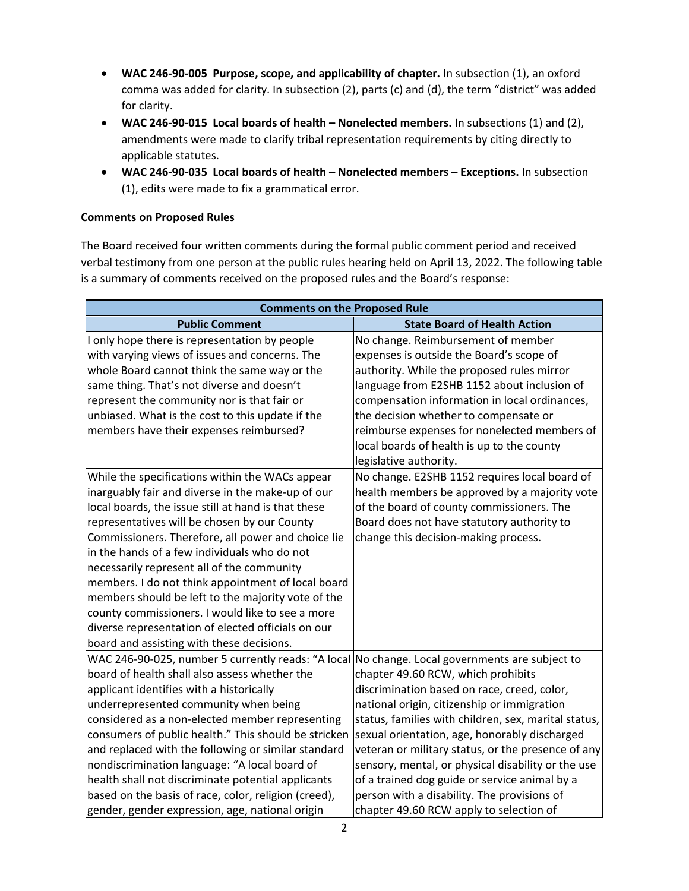- **WAC 246-90-005 Purpose, scope, and applicability of chapter.** In subsection (1), an oxford comma was added for clarity. In subsection (2), parts (c) and (d), the term "district" was added for clarity.
- **WAC 246-90-015 Local boards of health Nonelected members.** In subsections (1) and (2), amendments were made to clarify tribal representation requirements by citing directly to applicable statutes.
- **WAC 246-90-035 Local boards of health Nonelected members Exceptions.** In subsection (1), edits were made to fix a grammatical error.

## **Comments on Proposed Rules**

The Board received four written comments during the formal public comment period and received verbal testimony from one person at the public rules hearing held on April 13, 2022. The following table is a summary of comments received on the proposed rules and the Board's response:

| <b>Comments on the Proposed Rule</b>                                                                                                                                                                                                                                                                                                                                                                                                                                                                                                                                                                                               |                                                                                                                                                                                                                                                                                                                                                                                                                                                                                                  |
|------------------------------------------------------------------------------------------------------------------------------------------------------------------------------------------------------------------------------------------------------------------------------------------------------------------------------------------------------------------------------------------------------------------------------------------------------------------------------------------------------------------------------------------------------------------------------------------------------------------------------------|--------------------------------------------------------------------------------------------------------------------------------------------------------------------------------------------------------------------------------------------------------------------------------------------------------------------------------------------------------------------------------------------------------------------------------------------------------------------------------------------------|
| <b>Public Comment</b>                                                                                                                                                                                                                                                                                                                                                                                                                                                                                                                                                                                                              | <b>State Board of Health Action</b>                                                                                                                                                                                                                                                                                                                                                                                                                                                              |
| I only hope there is representation by people<br>with varying views of issues and concerns. The<br>whole Board cannot think the same way or the<br>same thing. That's not diverse and doesn't<br>represent the community nor is that fair or<br>unbiased. What is the cost to this update if the<br>members have their expenses reimbursed?                                                                                                                                                                                                                                                                                        | No change. Reimbursement of member<br>expenses is outside the Board's scope of<br>authority. While the proposed rules mirror<br>language from E2SHB 1152 about inclusion of<br>compensation information in local ordinances,<br>the decision whether to compensate or<br>reimburse expenses for nonelected members of<br>local boards of health is up to the county<br>legislative authority.                                                                                                    |
| While the specifications within the WACs appear<br>inarguably fair and diverse in the make-up of our<br>local boards, the issue still at hand is that these<br>representatives will be chosen by our County<br>Commissioners. Therefore, all power and choice lie<br>in the hands of a few individuals who do not<br>necessarily represent all of the community<br>members. I do not think appointment of local board<br>members should be left to the majority vote of the<br>county commissioners. I would like to see a more<br>diverse representation of elected officials on our<br>board and assisting with these decisions. | No change. E2SHB 1152 requires local board of<br>health members be approved by a majority vote<br>of the board of county commissioners. The<br>Board does not have statutory authority to<br>change this decision-making process.                                                                                                                                                                                                                                                                |
| WAC 246-90-025, number 5 currently reads: "A local No change. Local governments are subject to<br>board of health shall also assess whether the<br>applicant identifies with a historically<br>underrepresented community when being<br>considered as a non-elected member representing<br>consumers of public health." This should be stricken<br>and replaced with the following or similar standard<br>nondiscrimination language: "A local board of<br>health shall not discriminate potential applicants<br>based on the basis of race, color, religion (creed),<br>gender, gender expression, age, national origin           | chapter 49.60 RCW, which prohibits<br>discrimination based on race, creed, color,<br>national origin, citizenship or immigration<br>status, families with children, sex, marital status,<br>sexual orientation, age, honorably discharged<br>veteran or military status, or the presence of any<br>sensory, mental, or physical disability or the use<br>of a trained dog guide or service animal by a<br>person with a disability. The provisions of<br>chapter 49.60 RCW apply to selection of |